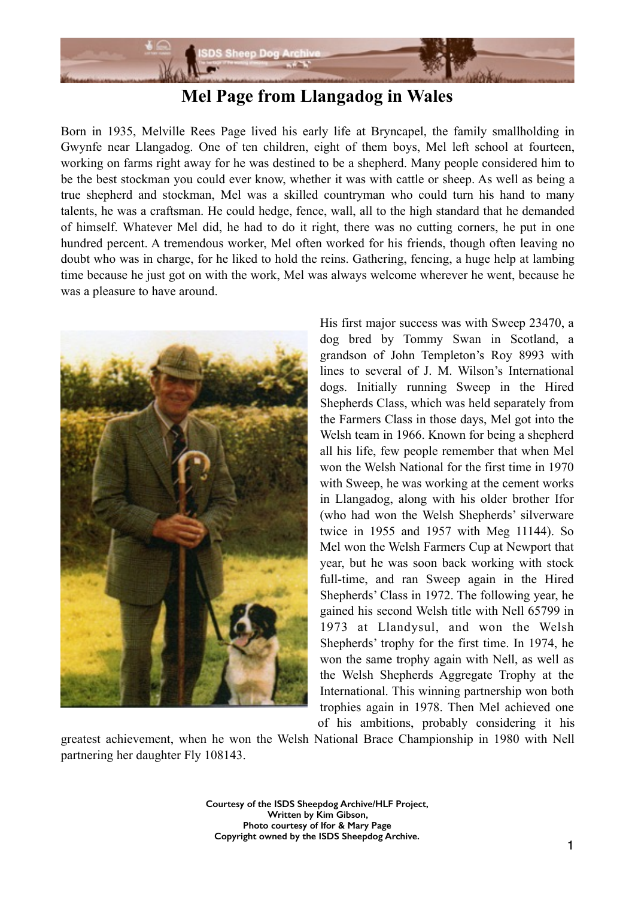

## **Mel Page from Llangadog in Wales**

Born in 1935, Melville Rees Page lived his early life at Bryncapel, the family smallholding in Gwynfe near Llangadog. One of ten children, eight of them boys, Mel left school at fourteen, working on farms right away for he was destined to be a shepherd. Many people considered him to be the best stockman you could ever know, whether it was with cattle or sheep. As well as being a true shepherd and stockman, Mel was a skilled countryman who could turn his hand to many talents, he was a craftsman. He could hedge, fence, wall, all to the high standard that he demanded of himself. Whatever Mel did, he had to do it right, there was no cutting corners, he put in one hundred percent. A tremendous worker, Mel often worked for his friends, though often leaving no doubt who was in charge, for he liked to hold the reins. Gathering, fencing, a huge help at lambing time because he just got on with the work, Mel was always welcome wherever he went, because he was a pleasure to have around.



His first major success was with Sweep 23470, a dog bred by Tommy Swan in Scotland, a grandson of John Templeton's Roy 8993 with lines to several of J. M. Wilson's International dogs. Initially running Sweep in the Hired Shepherds Class, which was held separately from the Farmers Class in those days, Mel got into the Welsh team in 1966. Known for being a shepherd all his life, few people remember that when Mel won the Welsh National for the first time in 1970 with Sweep, he was working at the cement works in Llangadog, along with his older brother Ifor (who had won the Welsh Shepherds' silverware twice in 1955 and 1957 with Meg 11144). So Mel won the Welsh Farmers Cup at Newport that year, but he was soon back working with stock full-time, and ran Sweep again in the Hired Shepherds' Class in 1972. The following year, he gained his second Welsh title with Nell 65799 in 1973 at Llandysul, and won the Welsh Shepherds' trophy for the first time. In 1974, he won the same trophy again with Nell, as well as the Welsh Shepherds Aggregate Trophy at the International. This winning partnership won both trophies again in 1978. Then Mel achieved one of his ambitions, probably considering it his

greatest achievement, when he won the Welsh National Brace Championship in 1980 with Nell partnering her daughter Fly 108143.

> **Courtesy of the ISDS Sheepdog Archive/HLF Project, Written by Kim Gibson, Photo courtesy of Ifor & Mary Page Copyright owned by the ISDS Sheepdog Archive.**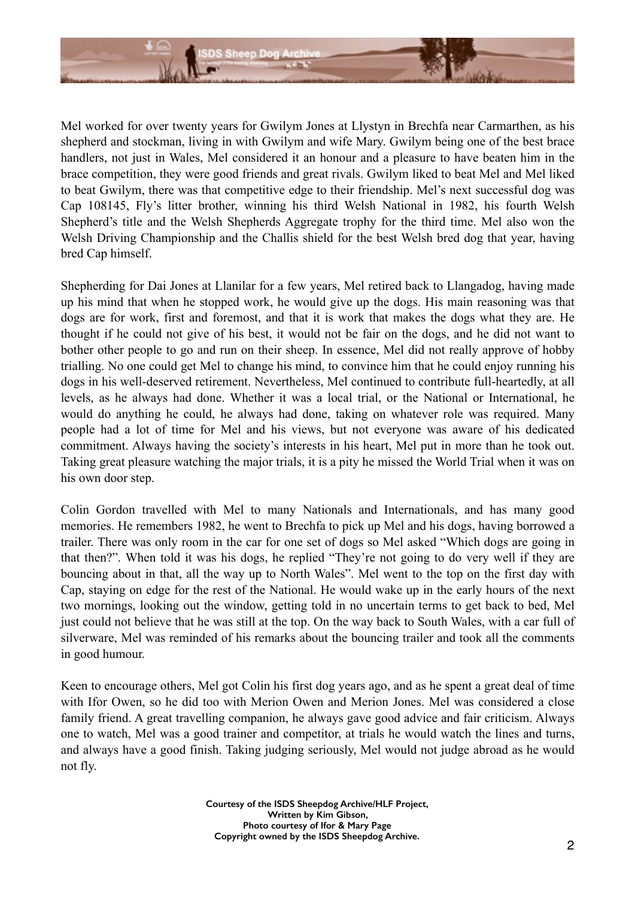

Mel worked for over twenty years for Gwilym Jones at Llystyn in Brechfa near Carmarthen, as his shepherd and stockman, living in with Gwilym and wife Mary. Gwilym being one of the best brace handlers, not just in Wales, Mel considered it an honour and a pleasure to have beaten him in the brace competition, they were good friends and great rivals. Gwilym liked to beat Mel and Mel liked to beat Gwilym, there was that competitive edge to their friendship. Mel's next successful dog was Cap 108145, Fly's litter brother, winning his third Welsh National in 1982, his fourth Welsh Shepherd's title and the Welsh Shepherds Aggregate trophy for the third time. Mel also won the Welsh Driving Championship and the Challis shield for the best Welsh bred dog that year, having bred Cap himself.

Shepherding for Dai Jones at Llanilar for a few years, Mel retired back to Llangadog, having made up his mind that when he stopped work, he would give up the dogs. His main reasoning was that dogs are for work, first and foremost, and that it is work that makes the dogs what they are. He thought if he could not give of his best, it would not be fair on the dogs, and he did not want to bother other people to go and run on their sheep. In essence, Mel did not really approve of hobby trialling. No one could get Mel to change his mind, to convince him that he could enjoy running his dogs in his well-deserved retirement. Nevertheless, Mel continued to contribute full-heartedly, at all levels, as he always had done. Whether it was a local trial, or the National or International, he would do anything he could, he always had done, taking on whatever role was required. Many people had a lot of time for Mel and his views, but not everyone was aware of his dedicated commitment. Always having the society's interests in his heart, Mel put in more than he took out. Taking great pleasure watching the major trials, it is a pity he missed the World Trial when it was on his own door step.

Colin Gordon travelled with Mel to many Nationals and Internationals, and has many good memories. He remembers 1982, he went to Brechfa to pick up Mel and his dogs, having borrowed a trailer. There was only room in the car for one set of dogs so Mel asked "Which dogs are going in that then?". When told it was his dogs, he replied "They're not going to do very well if they are bouncing about in that, all the way up to North Wales". Mel went to the top on the first day with Cap, staying on edge for the rest of the National. He would wake up in the early hours of the next two mornings, looking out the window, getting told in no uncertain terms to get back to bed, Mel just could not believe that he was still at the top. On the way back to South Wales, with a car full of silverware, Mel was reminded of his remarks about the bouncing trailer and took all the comments in good humour.

Keen to encourage others, Mel got Colin his first dog years ago, and as he spent a great deal of time with Ifor Owen, so he did too with Merion Owen and Merion Jones. Mel was considered a close family friend. A great travelling companion, he always gave good advice and fair criticism. Always one to watch, Mel was a good trainer and competitor, at trials he would watch the lines and turns, and always have a good finish. Taking judging seriously, Mel would not judge abroad as he would not fly.

> **Courtesy of the ISDS Sheepdog Archive/HLF Project, Written by Kim Gibson, Photo courtesy of Ifor & Mary Page Copyright owned by the ISDS Sheepdog Archive.**